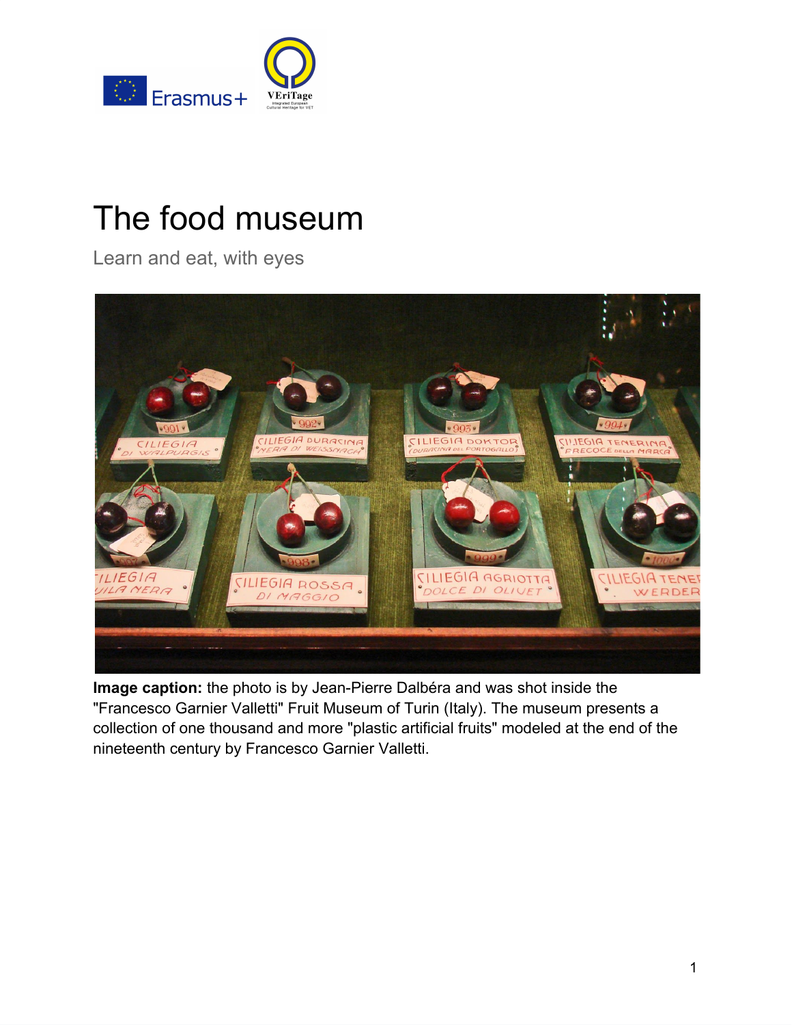

# The food museum

Learn and eat, with eyes



<span id="page-0-0"></span>**Image caption:** the photo is by [J](https://www.flickr.com/photos/dalbera/2863050843/in/photolist-5n59Cd-5mZTgz-5n59ZQ-5mZT8z)ean-Pierre Dalbéra and was shot inside the "Francesco Garnier Valletti" Fruit Museum of Turin (Italy). The museum presents a collection of one thousand and more "plastic artificial fruits" modeled at the end of the nineteenth century by Francesco Garnier Valletti.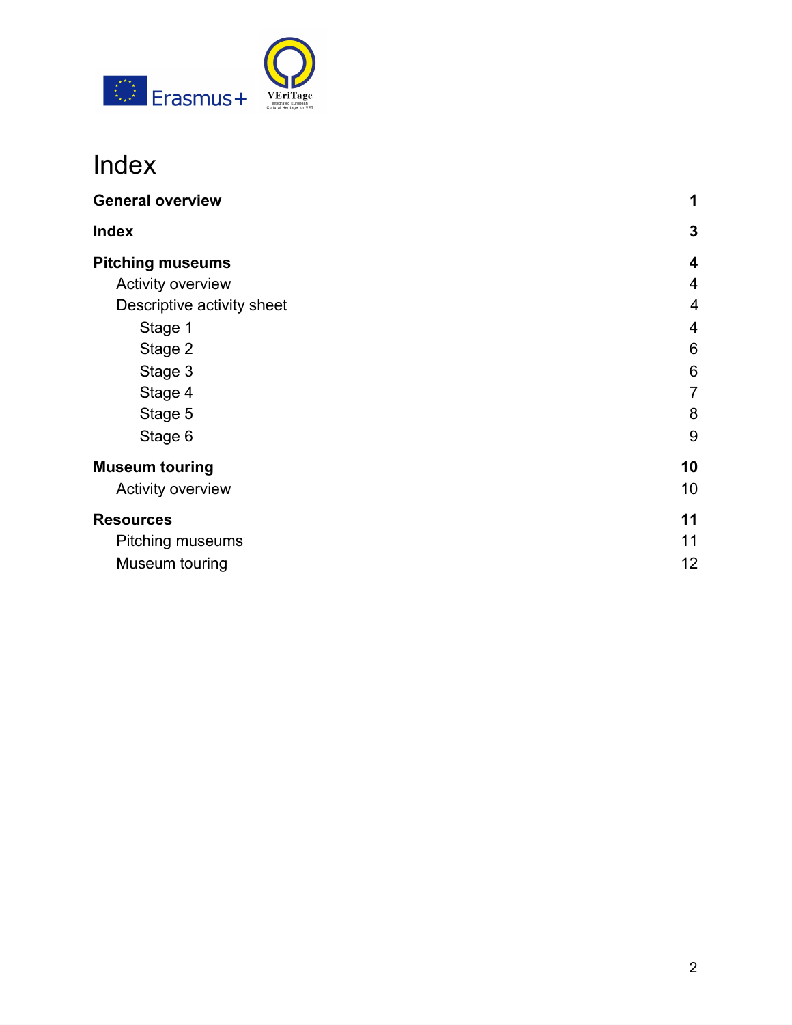

## Index

| <b>General overview</b>    | 1              |
|----------------------------|----------------|
| <b>Index</b>               | 3              |
| <b>Pitching museums</b>    | 4              |
| Activity overview          | $\overline{4}$ |
| Descriptive activity sheet | $\overline{4}$ |
| Stage 1                    | 4              |
| Stage 2                    | 6              |
| Stage 3                    | 6              |
| Stage 4                    | $\overline{7}$ |
| Stage 5                    | 8              |
| Stage 6                    | 9              |
| <b>Museum touring</b>      | 10             |
| Activity overview          | 10             |
| <b>Resources</b>           | 11             |
| Pitching museums           | 11             |
| Museum touring             | 12             |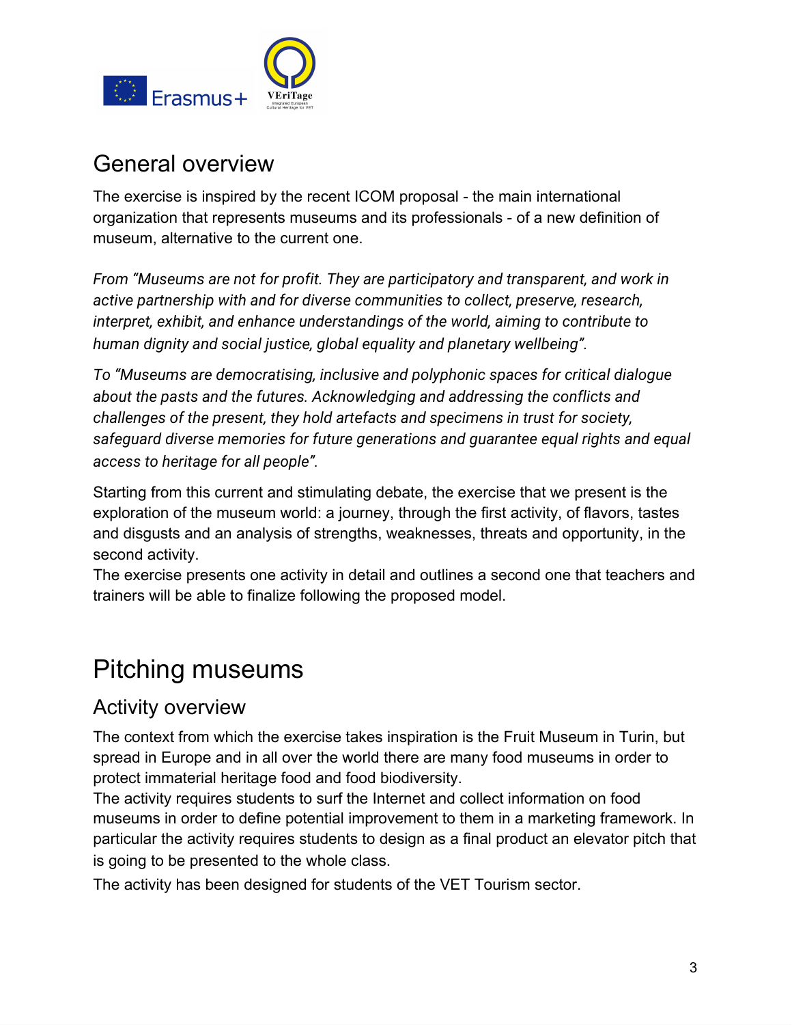

## General overview

The exercise is inspired by the recent ICOM proposal - the main international organization that represents museums and its professionals - of a new definition of museum, alternative to the current one.

*From "Museums are not for profit. They are participatory and transparent, and work in active partnership with and for diverse communities to collect, preserve, research, interpret, exhibit, and enhance understandings of the world, aiming to contribute to human dignity and social justice, global equality and planetary wellbeing".*

*To "Museums are democratising, inclusive and polyphonic spaces for critical dialogue about the pasts and the futures. Acknowledging and addressing the conflicts and challenges of the present, they hold artefacts and specimens in trust for society, safeguard diverse memories for future generations and guarantee equal rights and equal access to heritage for all people".*

Starting from this current and stimulating debate, the exercise that we present is the exploration of the museum world: a journey, through the first activity, of flavors, tastes and disgusts and an analysis of strengths, weaknesses, threats and opportunity, in the second activity.

The exercise presents one activity in detail and outlines a second one that teachers and trainers will be able to finalize following the proposed model.

## <span id="page-2-0"></span>Pitching museums

### <span id="page-2-1"></span>Activity overview

The context from which the exercise takes inspiration is the Fruit Museum in Turin, but spread in Europe and in all over the world there are many food museums in order to protect immaterial heritage food and food biodiversity.

The activity requires students to surf the Internet and collect information on food museums in order to define potential improvement to them in a marketing framework. In particular the activity requires students to design as a final product an elevator pitch that is going to be presented to the whole class.

The activity has been designed for students of the VET Tourism sector.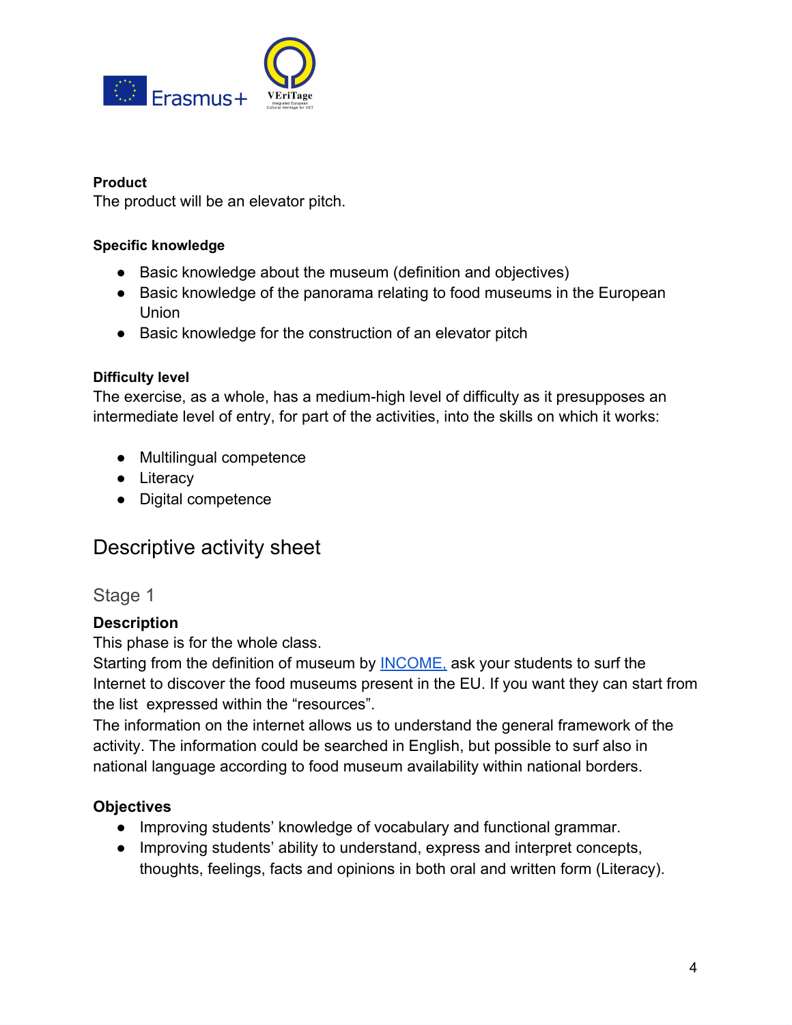

#### **Product**

The product will be an elevator pitch.

#### **Specific knowledge**

- Basic knowledge about the museum (definition and objectives)
- Basic knowledge of the panorama relating to food museums in the European Union
- Basic knowledge for the construction of an elevator pitch

#### **Difficulty level**

The exercise, as a whole, has a medium-high level of difficulty as it presupposes an intermediate level of entry, for part of the activities, into the skills on which it works:

- Multilingual competence
- Literacy
- Digital competence

### <span id="page-3-0"></span>Descriptive activity sheet

<span id="page-3-1"></span>Stage 1

#### **Description**

This phase is for the whole class.

Starting from the definition of museum by [INCOME,](https://icom.museum/en/faq/what-is-icoms-definition-of-a-museum/) ask your students to surf the Internet to discover the food museums present in the EU. If you want they can start from the list expressed within the "resources".

The information on the internet allows us to understand the general framework of the activity. The information could be searched in English, but possible to surf also in national language according to food museum availability within national borders.

#### **Objectives**

- Improving students' knowledge of vocabulary and functional grammar.
- Improving students' ability to understand, express and interpret concepts, thoughts, feelings, facts and opinions in both oral and written form (Literacy).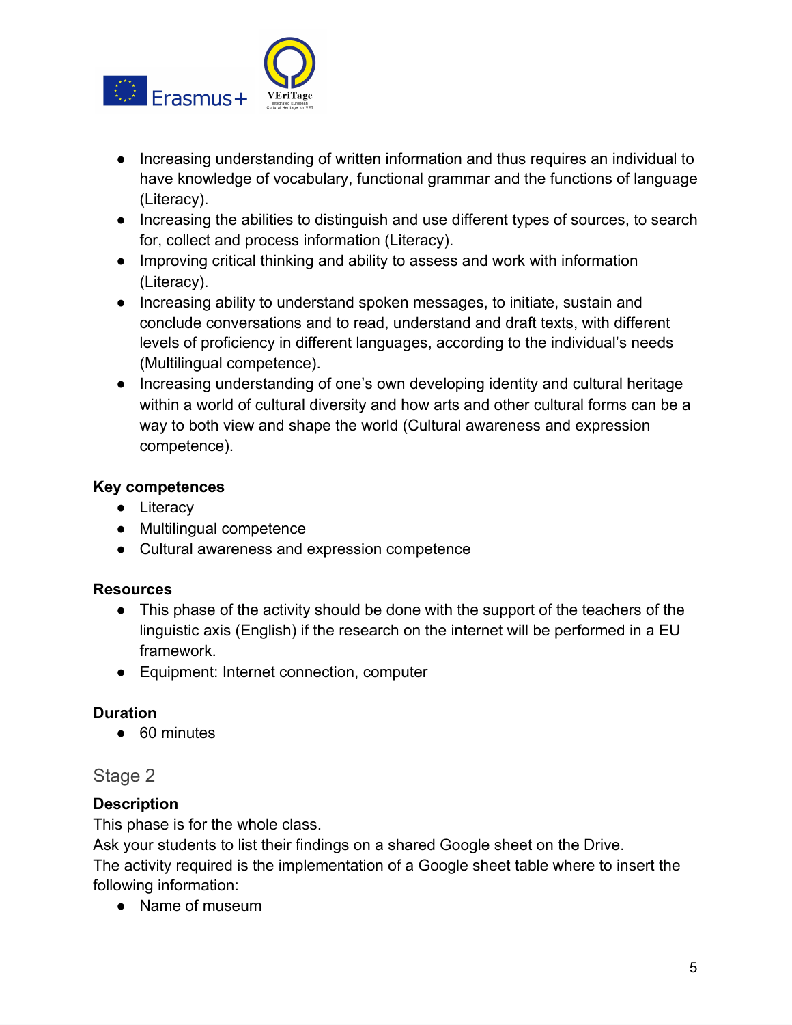

- Increasing understanding of written information and thus requires an individual to have knowledge of vocabulary, functional grammar and the functions of language (Literacy).
- Increasing the abilities to distinguish and use different types of sources, to search for, collect and process information (Literacy).
- Improving critical thinking and ability to assess and work with information (Literacy).
- Increasing ability to understand spoken messages, to initiate, sustain and conclude conversations and to read, understand and draft texts, with different levels of proficiency in different languages, according to the individual's needs (Multilingual competence).
- Increasing understanding of one's own developing identity and cultural heritage within a world of cultural diversity and how arts and other cultural forms can be a way to both view and shape the world (Cultural awareness and expression competence).

#### **Key competences**

- Literacy
- Multilingual competence
- Cultural awareness and expression competence

#### **Resources**

- This phase of the activity should be done with the support of the teachers of the linguistic axis (English) if the research on the internet will be performed in a EU framework.
- Equipment: Internet connection, computer

#### **Duration**

● 60 minutes

#### <span id="page-4-0"></span>Stage 2

#### **Description**

This phase is for the whole class.

Ask your students to list their findings on a shared Google sheet on the Drive. The activity required is the implementation of a Google sheet table where to insert the following information:

● Name of museum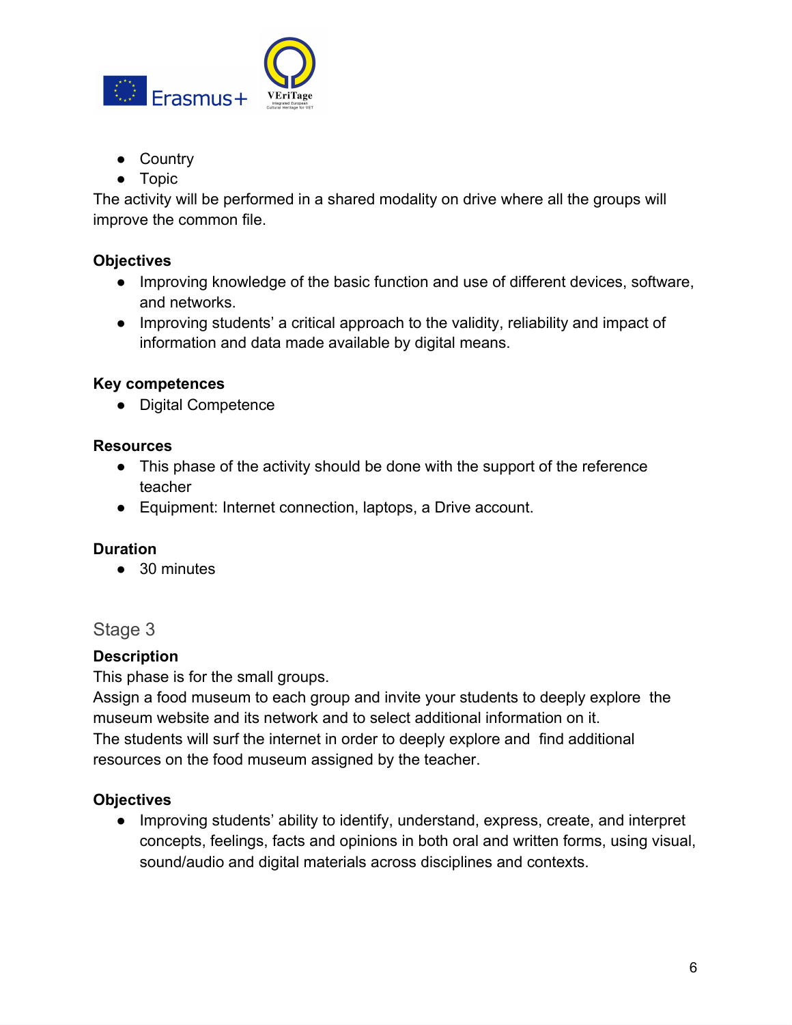

- Country
- Topic

The activity will be performed in a shared modality on drive where all the groups will improve the common file.

#### **Objectives**

- Improving knowledge of the basic function and use of different devices, software, and networks.
- Improving students' a critical approach to the validity, reliability and impact of information and data made available by digital means.

#### **Key competences**

● Digital Competence

#### **Resources**

- This phase of the activity should be done with the support of the reference teacher
- Equipment: Internet connection, laptops, a Drive account.

#### **Duration**

● 30 minutes

#### <span id="page-5-0"></span>Stage 3

#### **Description**

This phase is for the small groups.

Assign a food museum to each group and invite your students to deeply explore the museum website and its network and to select additional information on it. The students will surf the internet in order to deeply explore and find additional resources on the food museum assigned by the teacher.

#### **Objectives**

● Improving students' ability to identify, understand, express, create, and interpret concepts, feelings, facts and opinions in both oral and written forms, using visual, sound/audio and digital materials across disciplines and contexts.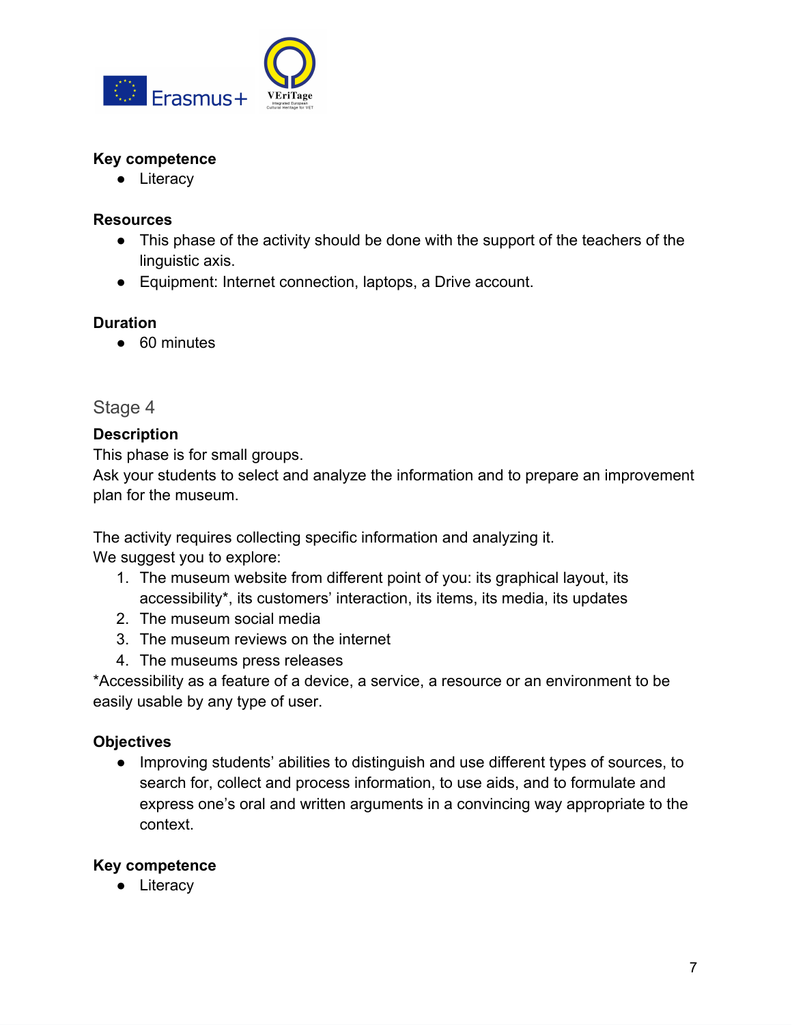

#### **Key competence**

● Literacy

#### **Resources**

- This phase of the activity should be done with the support of the teachers of the linguistic axis.
- Equipment: Internet connection, laptops, a Drive account.

#### **Duration**

● 60 minutes

#### <span id="page-6-0"></span>Stage 4

#### **Description**

This phase is for small groups.

Ask your students to select and analyze the information and to prepare an improvement plan for the museum.

The activity requires collecting specific information and analyzing it. We suggest you to explore:

- 1. The museum website from different point of you: its graphical layout, its accessibility\*, its customers' interaction, its items, its media, its updates
- 2. The museum social media
- 3. The museum reviews on the internet
- 4. The museums press releases

\*Accessibility as a feature of a device, a service, a resource or an environment to be easily usable by any type of user.

#### **Objectives**

● Improving students' abilities to distinguish and use different types of sources, to search for, collect and process information, to use aids, and to formulate and express one's oral and written arguments in a convincing way appropriate to the context.

#### **Key competence**

● Literacy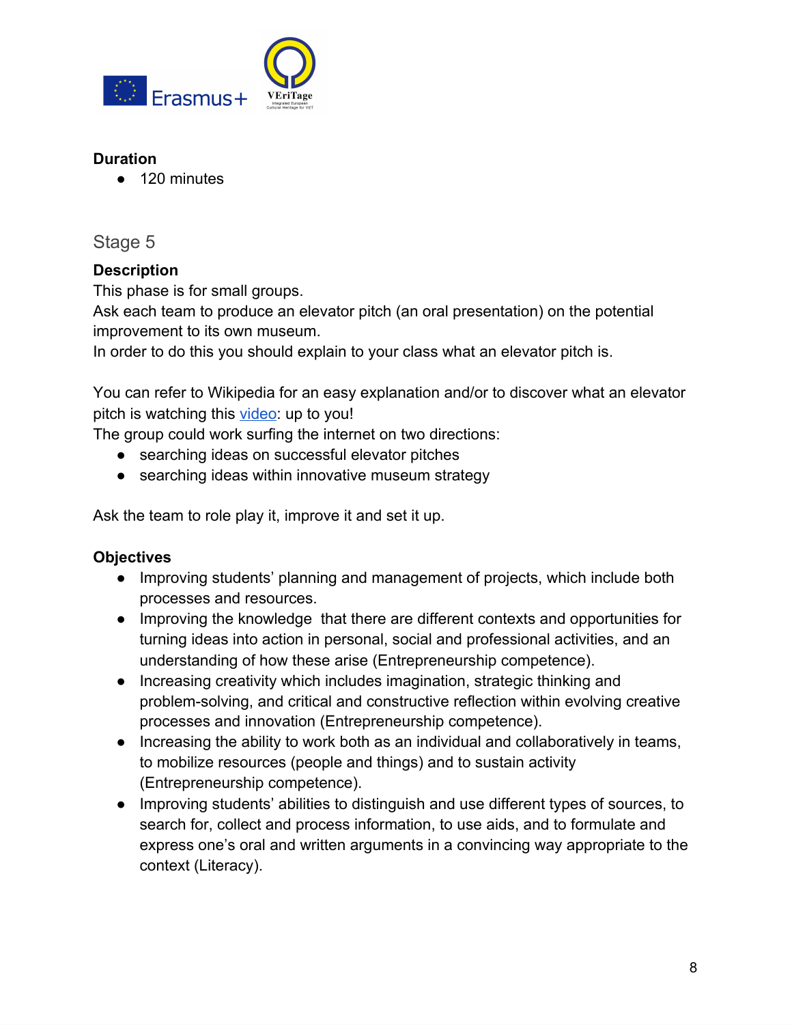

#### **Duration**

● 120 minutes

#### <span id="page-7-0"></span>Stage 5

#### **Description**

This phase is for small groups.

Ask each team to produce an elevator pitch (an oral presentation) on the potential improvement to its own museum.

In order to do this you should explain to your class what an elevator pitch is.

You can refer to Wikipedia for an easy explanation and/or to discover what an elevator pitch is watching this [video](https://www.youtube.com/watch?v=bZTWx2bftaw): up to you!

The group could work surfing the internet on two directions:

- searching ideas on successful elevator pitches
- searching ideas within innovative museum strategy

Ask the team to role play it, improve it and set it up.

#### **Objectives**

- Improving students' planning and management of projects, which include both processes and resources.
- Improving the knowledge that there are different contexts and opportunities for turning ideas into action in personal, social and professional activities, and an understanding of how these arise (Entrepreneurship competence).
- Increasing creativity which includes imagination, strategic thinking and problem-solving, and critical and constructive reflection within evolving creative processes and innovation (Entrepreneurship competence).
- Increasing the ability to work both as an individual and collaboratively in teams, to mobilize resources (people and things) and to sustain activity (Entrepreneurship competence).
- Improving students' abilities to distinguish and use different types of sources, to search for, collect and process information, to use aids, and to formulate and express one's oral and written arguments in a convincing way appropriate to the context (Literacy).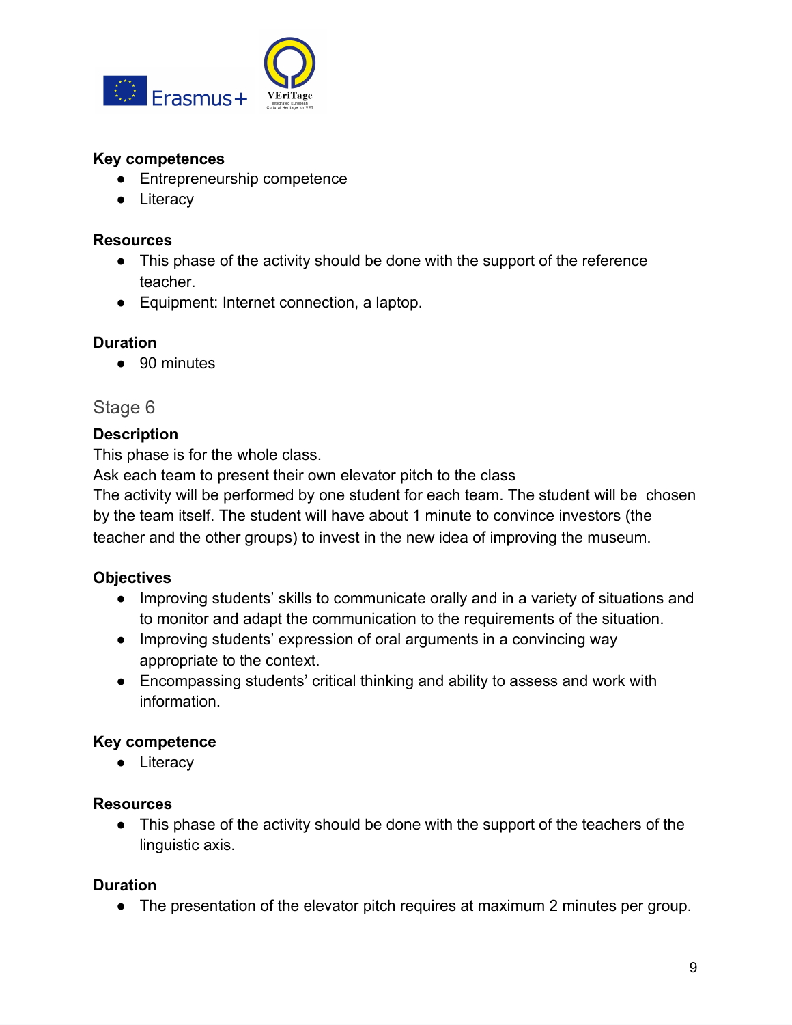

#### **Key competences**

- Entrepreneurship competence
- Literacy

#### **Resources**

- This phase of the activity should be done with the support of the reference teacher.
- Equipment: Internet connection, a laptop.

#### **Duration**

● 90 minutes

#### <span id="page-8-0"></span>Stage 6

#### **Description**

This phase is for the whole class.

Ask each team to present their own elevator pitch to the class

The activity will be performed by one student for each team. The student will be chosen by the team itself. The student will have about 1 minute to convince investors (the teacher and the other groups) to invest in the new idea of improving the museum.

#### **Objectives**

- Improving students' skills to communicate orally and in a variety of situations and to monitor and adapt the communication to the requirements of the situation.
- Improving students' expression of oral arguments in a convincing way appropriate to the context.
- Encompassing students' critical thinking and ability to assess and work with information.

#### **Key competence**

● Literacy

#### **Resources**

● This phase of the activity should be done with the support of the teachers of the linguistic axis.

#### **Duration**

● The presentation of the elevator pitch requires at maximum 2 minutes per group.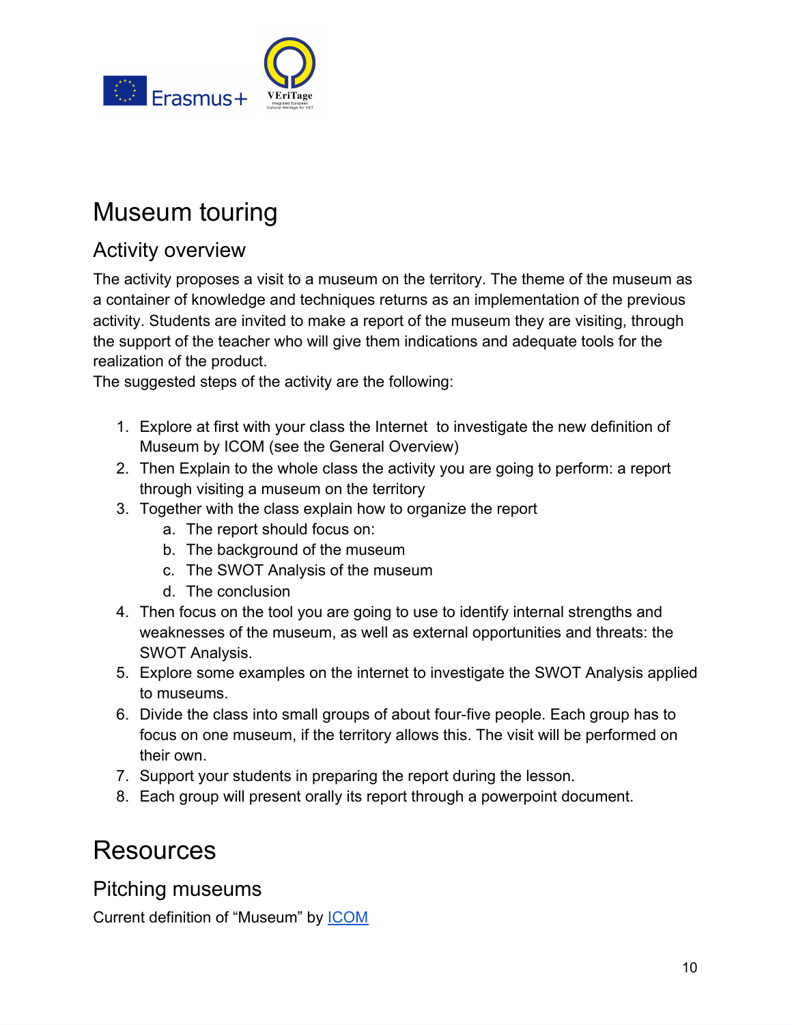

## <span id="page-9-0"></span>Museum touring

### <span id="page-9-1"></span>Activity overview

The activity proposes a visit to a museum on the territory. The theme of the museum as a container of knowledge and techniques returns as an implementation of the previous activity. Students are invited to make a report of the museum they are visiting, through the support of the teacher who will give them indications and adequate tools for the realization of the product.

The suggested steps of the activity are the following:

- 1. Explore at first with your class the Internet to investigate the new definition of Museum by ICOM (see the General Overview)
- 2. Then Explain to the whole class the activity you are going to perform: a report through visiting a museum on the territory
- 3. Together with the class explain how to organize the report
	- a. The report should focus on:
	- b. The background of the museum
	- c. The SWOT Analysis of the museum
	- d. The conclusion
- 4. Then focus on the tool you are going to use to identify internal strengths and weaknesses of the museum, as well as external opportunities and threats: the SWOT Analysis.
- 5. Explore some examples on the internet to investigate the SWOT Analysis applied to museums.
- 6. Divide the class into small groups of about four-five people. Each group has to focus on one museum, if the territory allows this. The visit will be performed on their own.
- 7. Support your students in preparing the report during the lesson.
- 8. Each group will present orally its report through a powerpoint document.

## <span id="page-9-2"></span>Resources

<span id="page-9-3"></span>Pitching museums

Current definition of "Museum" by [ICOM](https://icom.museum/en/faq/what-is-icoms-definition-of-a-museum/)